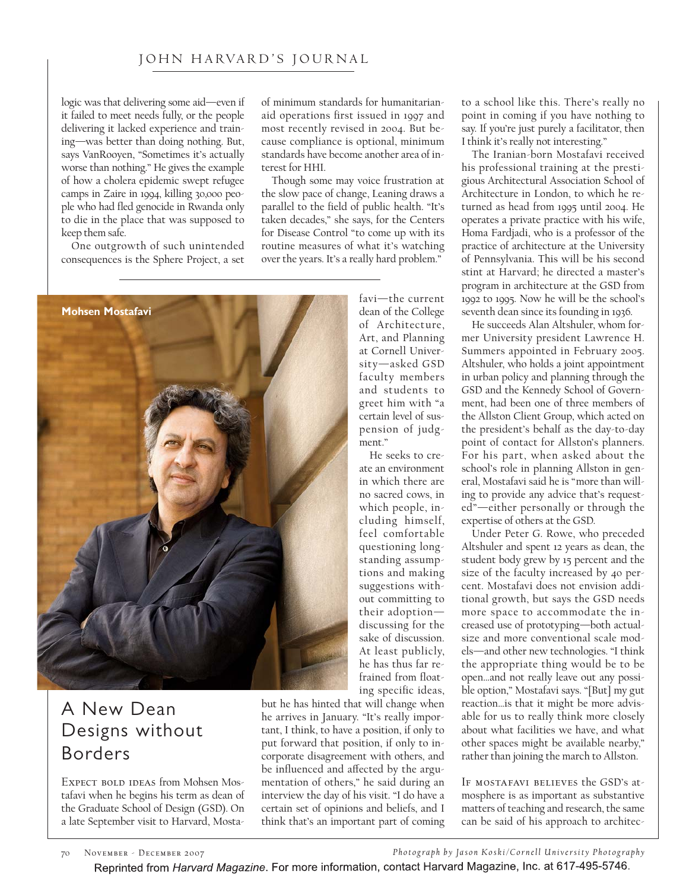## JOHN HARVARD'S JOURNAL

logic was that delivering some aid—even if it failed to meet needs fully, or the people delivering it lacked experience and training—was better than doing nothing. But, says VanRooyen, "Sometimes it's actually worse than nothing." He gives the example of how a cholera epidemic swept refugee camps in Zaire in 1994, killing 30,000 people who had fled genocide in Rwanda only to die in the place that was supposed to keep them safe.

One outgrowth of such unintended consequences is the Sphere Project, a set of minimum standards for humanitarianaid operations first issued in 1997 and most recently revised in 2004. But because compliance is optional, minimum standards have become another area of interest for HHI.

Though some may voice frustration at the slow pace of change, Leaning draws a parallel to the field of public health. "It's taken decades," she says, for the Centers for Disease Control "to come up with its routine measures of what it's watching over the years. It's a really hard problem."

> favi—the current dean of the College of Architecture, Art, and Planning at Cornell University—asked GSD faculty members and students to greet him with "a certain level of suspension of judg-

ment."

He seeks to create an environment in which there are no sacred cows, in which people, including himself, feel comfortable questioning longstanding assumptions and making suggestions without committing to their adoption discussing for the sake of discussion. At least publicly, he has thus far refrained from float-



## A New Dean Designs without Borders

EXPECT BOLD IDEAS from Mohsen Mostafavi when he begins his term as dean of the Graduate School of Design (GSD). On a late September visit to Harvard, Mosta-

ing specific ideas, but he has hinted that will change when he arrives in January. "It's really important, I think, to have a position, if only to put forward that position, if only to incorporate disagreement with others, and be influenced and affected by the argumentation of others," he said during an interview the day of his visit. "I do have a certain set of opinions and beliefs, and I think that's an important part of coming

to a school like this. There's really no point in coming if you have nothing to say. If you're just purely a facilitator, then I think it's really not interesting."

The Iranian-born Mostafavi received his professional training at the prestigious Architectural Association School of Architecture in London, to which he returned as head from 1995 until 2004. He operates a private practice with his wife, Homa Fardjadi, who is a professor of the practice of architecture at the University of Pennsylvania. This will be his second stint at Harvard; he directed a master's program in architecture at the GSD from 1992 to 1995. Now he will be the school's seventh dean since its founding in 1936.

He succeeds Alan Altshuler, whom former University president Lawrence H. Summers appointed in February 2005. Altshuler, who holds a joint appointment in urban policy and planning through the GSD and the Kennedy School of Government, had been one of three members of the Allston Client Group, which acted on the president's behalf as the day-to-day point of contact for Allston's planners. For his part, when asked about the school's role in planning Allston in general, Mostafavi said he is "more than willing to provide any advice that's requested"—either personally or through the expertise of others at the GSD.

Under Peter G. Rowe, who preceded Altshuler and spent 12 years as dean, the student body grew by 15 percent and the size of the faculty increased by 40 percent. Mostafavi does not envision additional growth, but says the GSD needs more space to accommodate the increased use of prototyping—both actualsize and more conventional scale models—and other new technologies. "I think the appropriate thing would be to be open…and not really leave out any possible option," Mostafavi says. "[But] my gut reaction…is that it might be more advisable for us to really think more closely about what facilities we have, and what other spaces might be available nearby," rather than joining the march to Allston.

If mostafavi believes the GSD's atmosphere is as important as substantive matters of teaching and research, the same can be said of his approach to architec